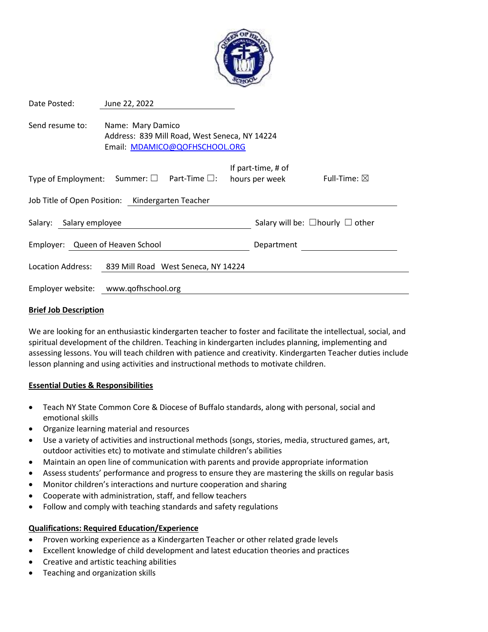

| Date Posted:                                                                                                           | June 22, 2022                        |  |            |                                            |                        |
|------------------------------------------------------------------------------------------------------------------------|--------------------------------------|--|------------|--------------------------------------------|------------------------|
| Send resume to:<br>Name: Mary Damico<br>Address: 839 Mill Road, West Seneca, NY 14224<br>Email: MDAMICO@QOFHSCHOOL.ORG |                                      |  |            |                                            |                        |
| Type of Employment: Summer: $\square$ Part-Time $\square$ :                                                            |                                      |  |            | If part-time, # of<br>hours per week       | Full-Time: $\boxtimes$ |
| Job Title of Open Position: Kindergarten Teacher                                                                       |                                      |  |            |                                            |                        |
| Salary: Salary employee                                                                                                |                                      |  |            | Salary will be: $\Box$ hourly $\Box$ other |                        |
| Employer: Queen of Heaven School                                                                                       |                                      |  | Department |                                            |                        |
| Location Address:                                                                                                      | 839 Mill Road West Seneca, NY 14224  |  |            |                                            |                        |
|                                                                                                                        | Employer website: www.qofhschool.org |  |            |                                            |                        |

#### **Brief Job Description**

We are looking for an enthusiastic kindergarten teacher to foster and facilitate the intellectual, social, and spiritual development of the children. Teaching in kindergarten includes planning, implementing and assessing lessons. You will teach children with patience and creativity. Kindergarten Teacher duties include lesson planning and using activities and instructional methods to motivate children.

## **Essential Duties & Responsibilities**

- Teach NY State Common Core & Diocese of Buffalo standards, along with personal, social and emotional skills
- Organize learning material and resources
- Use a variety of activities and instructional methods (songs, stories, media, structured games, art, outdoor activities etc) to motivate and stimulate children's abilities
- Maintain an open line of communication with parents and provide appropriate information
- Assess students' performance and progress to ensure they are mastering the skills on regular basis
- Monitor children's interactions and nurture cooperation and sharing
- Cooperate with administration, staff, and fellow teachers
- Follow and comply with teaching standards and safety regulations

## **Qualifications: Required Education/Experience**

- Proven working experience as a Kindergarten Teacher or other related grade levels
- Excellent knowledge of child development and latest education theories and practices
- Creative and artistic teaching abilities
- Teaching and organization skills